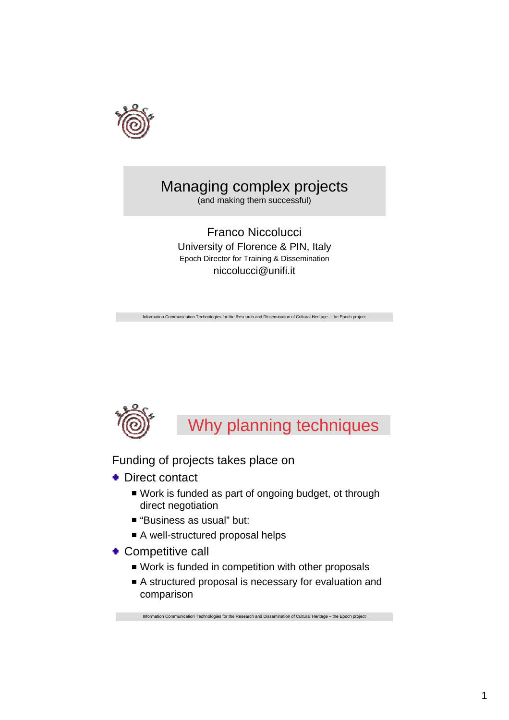

# Managing complex projects

(and making them successful)

Franco Niccolucci University of Florence & PIN, Italy Epoch Director for Training & Dissemination niccolucci@unifi.it

Information Communication Technologies for the Research and Dissemination of Cultural Heritage – the Epoch project



Why planning techniques

Funding of projects takes place on

- ◆ Direct contact
	- Work is funded as part of ongoing budget, ot through direct negotiation
	- "Business as usual" but:
	- A well-structured proposal helps
- Competitive call
	- Work is funded in competition with other proposals
	- A structured proposal is necessary for evaluation and comparison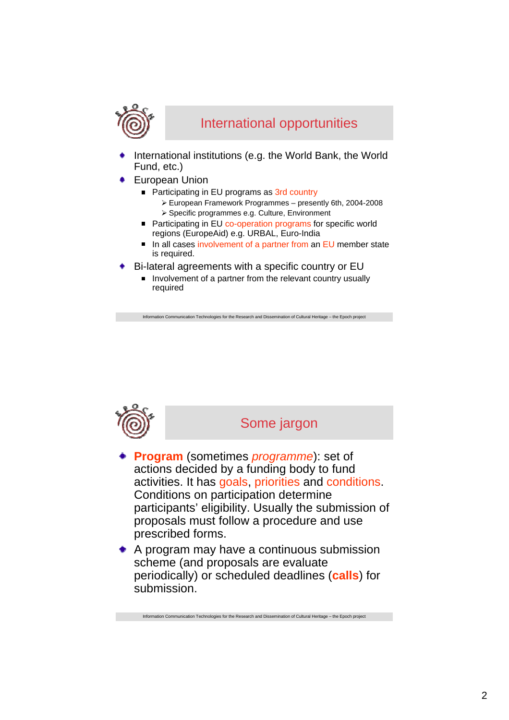

### International opportunities

- International institutions (e.g. the World Bank, the World Fund, etc.)
- European Union
	- Participating in EU programs as 3rd country
		- ¾ European Framework Programmes presently 6th, 2004-2008 ¾ Specific programmes e.g. Culture, Environment
	- Participating in EU co-operation programs for specific world regions (EuropeAid) e.g. URBAL, Euro-India
	- In all cases involvement of a partner from an EU member state is required.
- Bi-lateral agreements with a specific country or EU
	- Involvement of a partner from the relevant country usually required

tion Communication Technologies for the Research and Dissemination of Cultural Heritage – the Epoch project



#### Some jargon

- **Program** (sometimes *programme*): set of actions decided by a funding body to fund activities. It has goals, priorities and conditions. Conditions on participation determine participants' eligibility. Usually the submission of proposals must follow a procedure and use prescribed forms.
- A program may have a continuous submission scheme (and proposals are evaluate periodically) or scheduled deadlines (**calls**) for submission.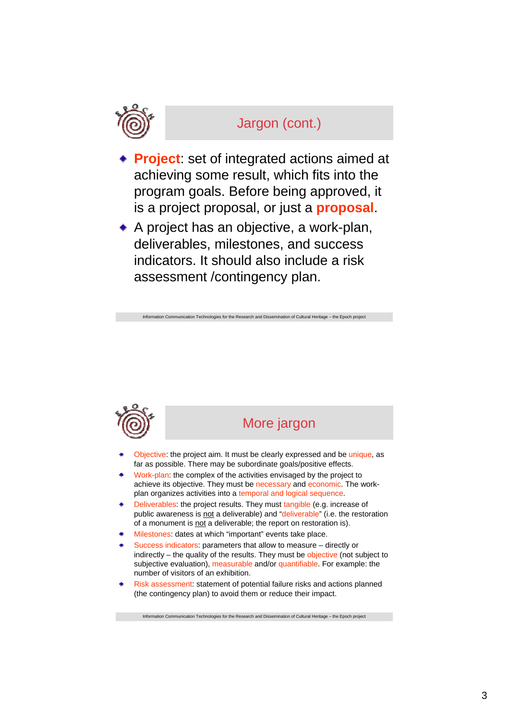

## Jargon (cont.)

- **Project**: set of integrated actions aimed at achieving some result, which fits into the program goals. Before being approved, it is a project proposal, or just a **proposal**.
- A project has an objective, a work-plan, deliverables, milestones, and success indicators. It should also include a risk assessment /contingency plan.

Ition Communication Technologies for the Research and Dissemination of Cultural Heritage – the Epoch project



### More jargon

- Objective: the project aim. It must be clearly expressed and be unique, as far as possible. There may be subordinate goals/positive effects.
- Work-plan: the complex of the activities envisaged by the project to achieve its objective. They must be necessary and economic. The workplan organizes activities into a temporal and logical sequence.
- Deliverables: the project results. They must tangible (e.g. increase of public awareness is not a deliverable) and "deliverable" (i.e. the restoration of a monument is not a deliverable; the report on restoration is).
- Milestones: dates at which "important" events take place.
- Success indicators: parameters that allow to measure directly or indirectly – the quality of the results. They must be objective (not subject to subjective evaluation), measurable and/or quantifiable. For example: the number of visitors of an exhibition.
- Risk assessment: statement of potential failure risks and actions planned (the contingency plan) to avoid them or reduce their impact.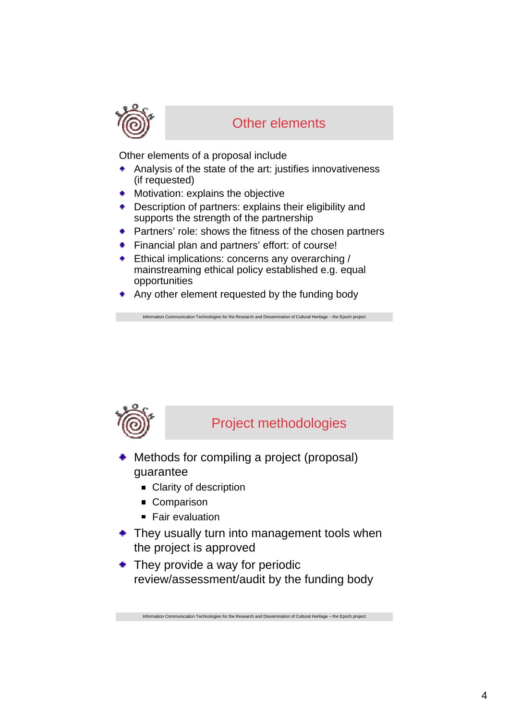

### Other elements

Other elements of a proposal include

- Analysis of the state of the art: justifies innovativeness (if requested)
- **Motivation: explains the objective**
- Description of partners: explains their eligibility and  $\bullet$  . supports the strength of the partnership
- **•** Partners' role: shows the fitness of the chosen partners

tion Communication Technologies for the Research and Dissemination of Cultural Heritage – the Epoch project

- Financial plan and partners' effort: of course!
- **Ethical implications: concerns any overarching /** mainstreaming ethical policy established e.g. equal opportunities
- Any other element requested by the funding body



## Project methodologies

- Methods for compiling a project (proposal) guarantee
	- Clarity of description
	- Comparison
	- Fair evaluation
- They usually turn into management tools when the project is approved
- They provide a way for periodic review/assessment/audit by the funding body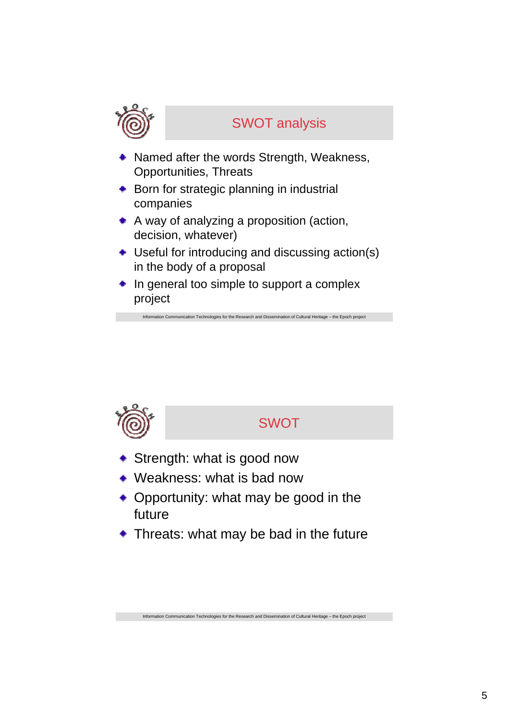

## SWOT analysis

- Named after the words Strength, Weakness, Opportunities, Threats
- **+** Born for strategic planning in industrial companies
- A way of analyzing a proposition (action, decision, whatever)
- Useful for introducing and discussing action(s) in the body of a proposal

Information Communication Technologies for the Research and Dissemination of Cultural Heritage – the Epoch project

 $\bullet$  In general too simple to support a complex project

## SWOT

- **Strength: what is good now**
- Weakness: what is bad now
- Opportunity: what may be good in the future
- Threats: what may be bad in the future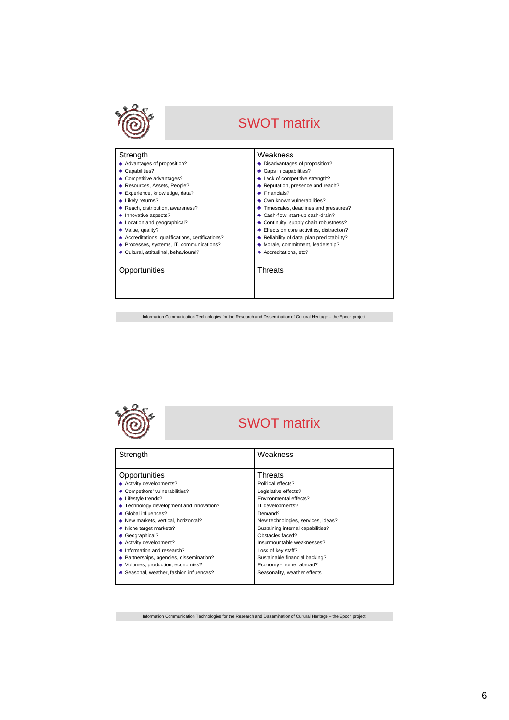

# SWOT matrix

| Strength                                          | Weakness                                  |
|---------------------------------------------------|-------------------------------------------|
| • Advantages of proposition?                      | • Disadvantages of proposition?           |
| • Capabilities?                                   | Gaps in capabilities?                     |
| • Competitive advantages?                         | • Lack of competitive strength?           |
| ◆ Resources, Assets, People?                      | Reputation, presence and reach?           |
| Experience, knowledge, data?                      | Financials?                               |
| • Likely returns?                                 | Own known vulnerabilities?                |
| • Reach, distribution, awareness?                 | Timescales, deadlines and pressures?      |
| • Innovative aspects?                             | Cash-flow, start-up cash-drain?           |
| • Location and geographical?                      | Continuity, supply chain robustness?      |
| • Value, quality?                                 | Effects on core activities, distraction?  |
| • Accreditations, qualifications, certifications? | Reliability of data, plan predictability? |
| ♦ Processes, systems, IT, communications?         | Morale, commitment, leadership?           |
| Cultural, attitudinal, behavioural?               | Accreditations, etc?                      |
| Opportunities                                     | Threats                                   |

Information Communication Technologies for the Research and Dissemination of Cultural Heritage – the Epoch project



## SWOT matrix

| Strength                                 | Weakness                           |
|------------------------------------------|------------------------------------|
|                                          |                                    |
| Opportunities                            | Threats                            |
| ● Activity developments?                 | Political effects?                 |
| • Competitors' vulnerabilities?          | Legislative effects?               |
| • Lifestyle trends?                      | Environmental effects?             |
| • Technology development and innovation? | IT developments?                   |
| ● Global influences?                     | Demand?                            |
| New markets, vertical, horizontal?       | New technologies, services, ideas? |
| • Niche target markets?                  | Sustaining internal capabilities?  |
| • Geographical?                          | Obstacles faced?                   |
| ◆ Activity development?                  | Insurmountable weaknesses?         |
| • Information and research?              | Loss of key staff?                 |
| ◆ Partnerships, agencies, dissemination? | Sustainable financial backing?     |
| • Volumes, production, economies?        | Economy - home, abroad?            |
| • Seasonal, weather, fashion influences? | Seasonality, weather effects       |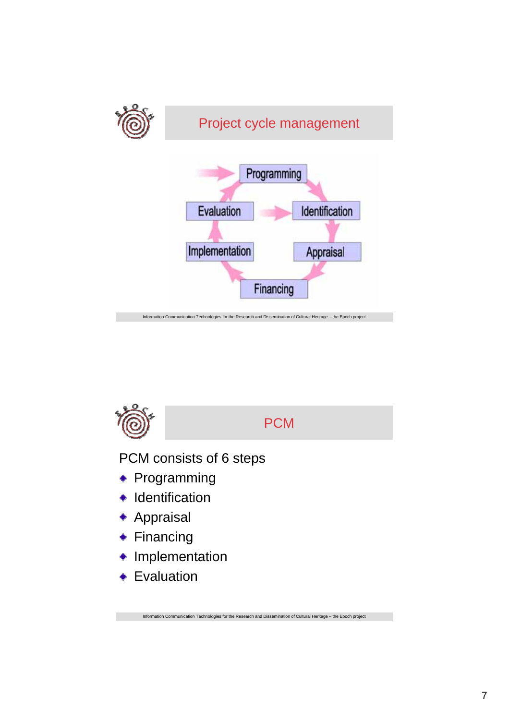

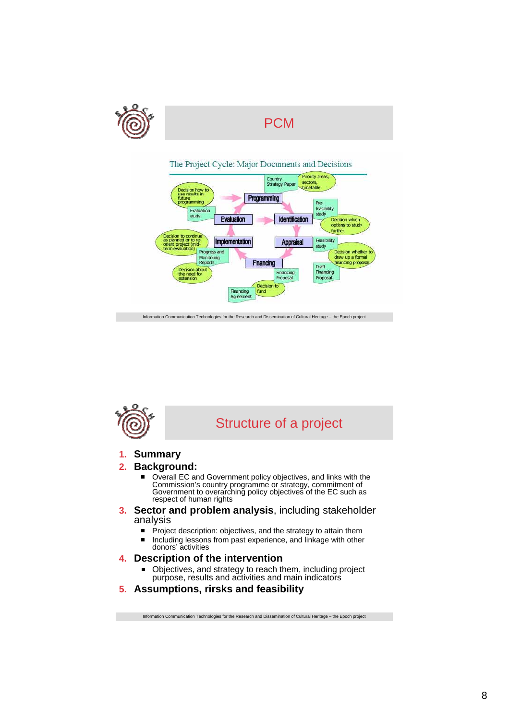



Information Communication Technologies for the Research and Dissemination of Cultural Heritage – the Epoch project



## Structure of a project

#### **1. Summary**

#### **2. Background:**

- Overall EC and Government policy objectives, and links with the  $\blacksquare$ Commission's country programme or strategy, commitment of Government to overarching policy objectives of the EC such as respect of human rights
- **3. Sector and problem analysis**, including stakeholder analysis
	- $\blacksquare$ Project description: objectives, and the strategy to attain them
	- Including lessons from past experience, and linkage with other  $\blacksquare$ donors' activities
- **4. Description of the intervention**
	- Objectives, and strategy to reach them, including project purpose, results and activities and main indicators
- **5. Assumptions, rirsks and feasibility**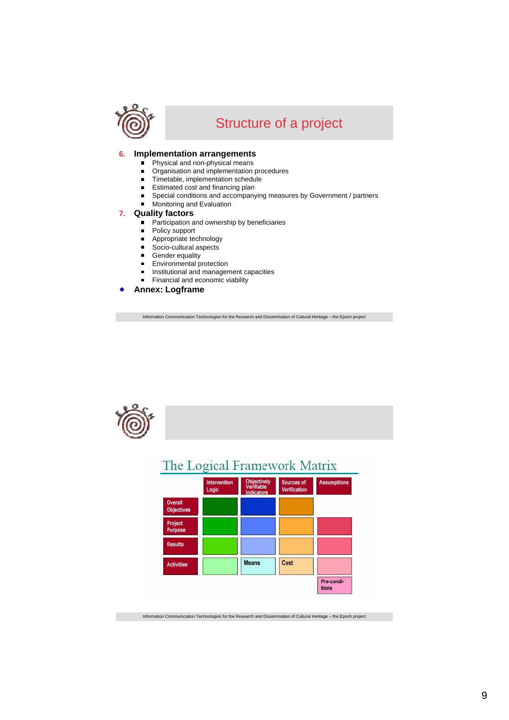

## Structure of a project

#### **6. Implementation arrangements**

- Physical and non-physical means  $\blacksquare$
- Organisation and implementation procedures  $\blacksquare$
- $\blacksquare$ Timetable, implementation schedule
- Estimated cost and financing plan  $\blacksquare$
- Special conditions and accompanying measures by Government / partners  $\blacksquare$
- **Monitoring and Evaluation**

#### **7. Quality factors**

- **Participation and ownership by beneficiaries**
- $\blacksquare$ Policy support
- Appropriate technology  $\blacksquare$
- $\blacksquare$ Socio-cultural aspects
- $\blacksquare$ Gender equality
- $\blacksquare$ Environmental protection
- Institutional and management capacities
- Financial and economic viability

**Annex: Logframe**

Information Communication Technologies for the Research and Dissemination of Cultural Heritage – the Epoch project



### The Logical Framework Matrix

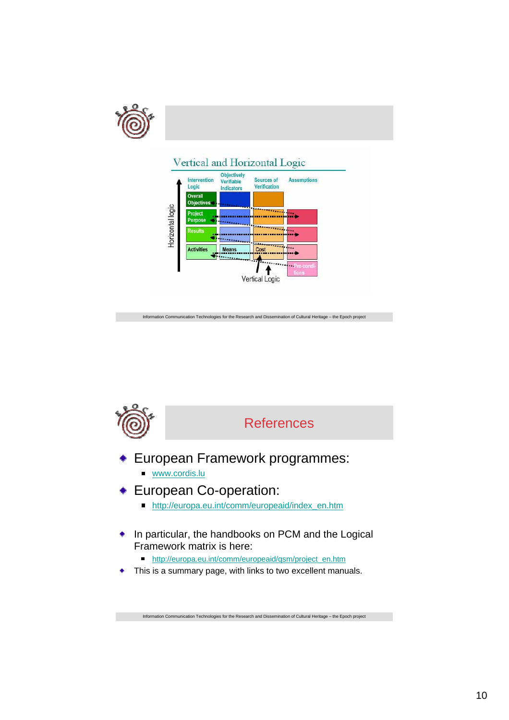

### Vertical and Horizontal Logic



Information Communication Technologies for the Research and Dissemination of Cultural Heritage – the Epoch project



- European Framework programmes:
	- www.cordis.lu
- European Co-operation:
	- http://europa.eu.int/comm/europeaid/index\_en.htm
- In particular, the handbooks on PCM and the Logical ۰ Framework matrix is here:
	- http://europa.eu.int/comm/europeaid/qsm/project\_en.htm
- This is a summary page, with links to two excellent manuals. $\bullet$